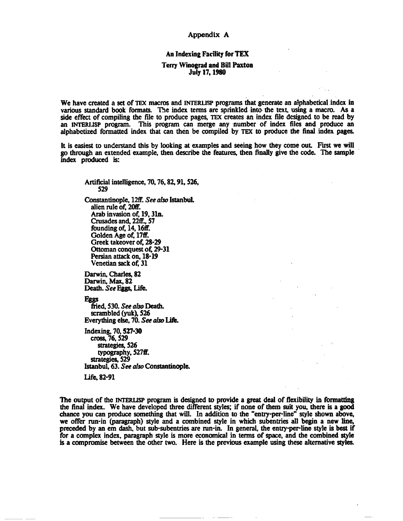## **Appendix A**

# An Indexing Facility for **TEX**

### **Terry Winograd and Bill Paxton** July **17,1980**

We have created a set of TEX macros and **INTERLISP** programs that generate an alphabetical index in various standard book formats. The index terms are sprinkled into the text, using a macro. As a side effect of compiling the file to produce pages, **TEX** creates an index file designed to be read by an **INTERLISP** program. This program can merge any number of index files and produce an alphabctized formatted index that can then be compiled by TEX to produce the final index **pages** 

It is easiest to understand this by looking at examples and seeing how they come out First we will **go** through an extended example, then describe the features, then **finally** give the code. The sample index produced **is:** 

Artificial intelligence, 70,76,82,91,526, **529** 

Constantinople, 12ff. **See** *also* **Istanbul.**  alien rule of, 20ff. Arab invasion of, 19, 31n. Crusades and. **22ff..** 57 founding of, 14, 16ff. Golden Age of, 17ff. Greek takeover of, 28-29 **Ottoman** conquest **of,** 29-31 Persian attack on, **18-19**  Venetian **sack** of, 31

**Darwin,** Charles, 82 Darwin, **Max,** 82 **Death.** See **Eggs**, Life.

**Esss** 

fried, 530. **See** *also* Death. scrambled **(yuk),** 526 Everything else, 70. See also Life.

Indexing, **70.527-30 cross,** 76,529 **strategies,** 526 typography, 527ff. **strategies,** 529 **Istanbul, 63. See also ConstantinopIc.** 

**Life. 82-91** 

The output of the **INTERLISP** program is designed to provide a great deal of flexibility in formatting the final index. We have developed three different styles; if none of them suit you, there is a **good**  chance you can produce something that will. In addition to the "entry-per-lime" style shown above, we offer run-in (paragraph) style and a combined style in which subentries all begin a new line, preceded by an em **dash,** but sub-subentries are run-in. In general, the entry-per-line style is best if for a complex index, paragraph style is more economical in terms of space, and the combined style is a compromise between the other two. Here is the previous example using these alternative **styles.**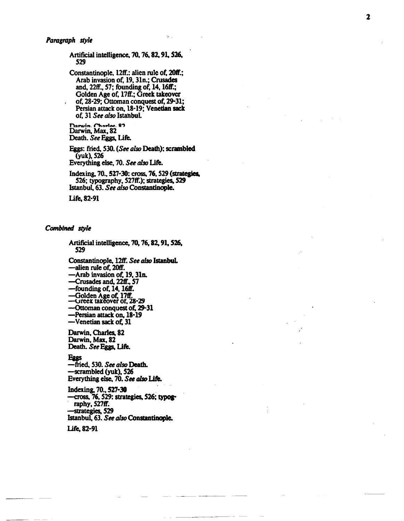Artificial intelligence, 70, 76, 82, 91, 526, 529

Constantinople, 12ff.: alien rule of, 20ff.; Arab invasion of, 19, 31n.; Crusades<br>and, 22ff., 57; founding of, 14, 16ff.; Golden Age of, 17ff.; Greek takeover of, 28-29; Ottoman conquest of, 29-31; Persian attack on, 18-19; Venetian sack of. 31 See also Istanbul.

Darwin, Charles, 87<br>Darwin, Max, 82 Death. See Eggs, Life.

Eggs: fried, 530. (See also Death); scrambled (yuk), 526 Everything else, 70. See also Life.

Indexing, 70., 527-30: cross, 76, 529 (strategies, 526; typography, 527ff.); strategies, 529 Istanbul, 63. See also Constantinople.

Life, 82-91

### Combined style

Artificial intelligence, 70, 76, 82, 91, 526, 529

Constantinople, 12ff. See also Istanbul. —alien rule of, 20ff.

-Arab invasion of, 19, 31n.

-Crusades and, 22ff., 57

-founding of, 14, 16ff.

-Golden Age of, 17ff.<br>-Greek takeover of, 28-29

-Ottoman conquest of, 29-31

-Persian attack on, 18-19

-Venetian sack of. 31

Darwin, Charles, 82 Darwin, Max, 82 Death. See Eggs, Life.

#### Eggs

-fried, 530. See also Death. -scrambled (yuk), 526 Everything else, 70. See also Life.

Indexing, 70., 527-30 -cross, 76, 529: strategies, 526; typography, 527ff. strategies, 529 Istanbul, 63. See also Constantinople.

Life, 82-91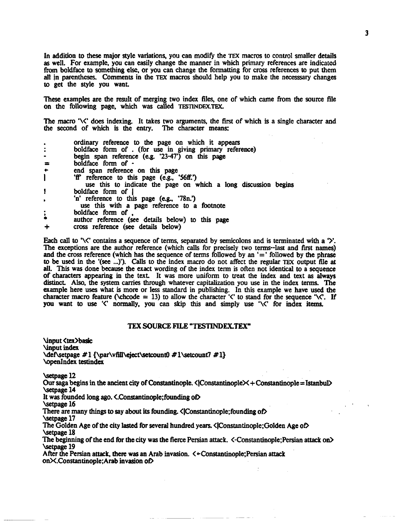In addition to these major style variations, you can modify the TEX macros to control smaller details as well. For example, you can easily change the manner in which primary references are indicated from boldface to something else, or you can change the formatting for cross references to put them all **in** parentheses. Comments in the **TEX** macros should help you to make the necessary changes to get the style you want.

These examples are the result of merging two index files, one of which came from the source file on **thc** following page, which was called **TESnNDEX.TEX** 

The macro  $\sqrt{\zeta}$  does indexing. It takes two arguments, the first of which is a single character and the second of which is the entry. The character **means:** 

|                              | ordinary reference to the page on which it appears                                        |
|------------------------------|-------------------------------------------------------------------------------------------|
| $\ddot{\phantom{a}}$         | boldface form of . (for use in giving primary reference)                                  |
| $\qquad \qquad \blacksquare$ | begin span reference (e.g. '23-47') on this page                                          |
|                              | boldface form of -                                                                        |
| $\bullet$                    | end span reference on this page                                                           |
|                              | 'ff' reference to this page (e.g., '56ff.')                                               |
|                              | use this to indicate the page on which a long discussion begins                           |
|                              | boldface form of 1                                                                        |
|                              | 'n' reference to this page (e.g., '78n.')<br>use this with a page reference to a footnote |
| $\ddot{\cdot}$               | boldface form of                                                                          |
|                              | author reference (see details below) to this page                                         |
|                              | cross reference (see details below)                                                       |

Each call to ' $\&\&\&\&\xspace$  contains a sequence of terms, separated by semicolons and is terminated with a ' $\&\&\&\xspace$ The exceptions *are* the author reference (which calls for precisely two terms--last and first **names)**  and the cross reference (which has the sequence of terms followed by an '=' followed by the phrase to be used in the **'(see** ...)'). Calls to the index macro do not affect the regular **TEX** output file at **all.** This was done because the exact wording of the index tern is often not identical to a sequence of characters appearing in the text. It was more uniform to treat the index and text as **always**  distinct. Also, the system **wries** through whatever capitalization you **use** in the index terms. The example here uses what is more or less standard in publishing. In this example we have used the character macro feature ( $\check{c}$  ( $\check{c}$ ) to allow the character  $\check{c}$ ) to stand for the sequence  $\check{c}$ . If you want to use ' $\zeta$ ' normally, you can skip this and simply use ' $\zeta$ ' for index items.

## TEX **SOURCE FILE "TESTINDEX.TEXW**

\input <tex>basic \input index \def\setpage # 1 {\par\vfill\eject\setcount0 # l\setcount7 # l} **\openIndex testindex** 

**\setpage 12** 

Our saga begins in the ancient city of Constantinople.  $\langle$ |Constantinople $\times$ +Constantinople = Istanbul $\rangle$ **Setpage 14** 

It was founded long ago. **<.**Constantinople; founding of>

**betpage** 16

There are many things to say about its founding. *<IConstantinople;founding of* 

\setpage 17

The Golden Age of the city lasted for several hundred years. <IConstantinople;Golden Age OD **Setpage 18** 

The beginning of the end for the city was the fierce Persian attack. **<-Constantinop1e;Persian** attack on) **Setpage 19** 

After the Persian attack. there was an Arab invasion.  $\langle +$  Constantinople; Persian attack onX.Constantinople:Arab invasion OD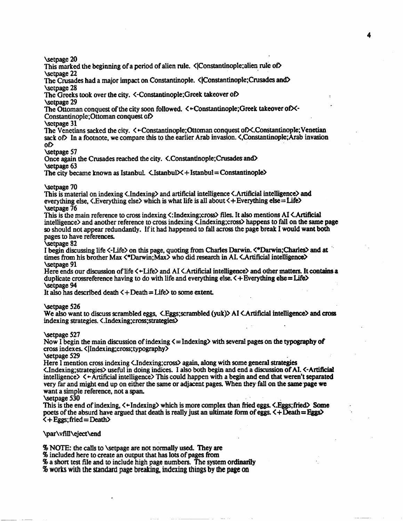**\setpage 20** 

This marked the beginning of a period of alien rule.  $\langle$  Constantinople; alien rule of **Setpage 22** 

The Crusades had a major impact on Constantinople. **< Constantinople**; Crusades and betpagc **28** 

The Greeks took over the city. <-Constantinople;Greek takeover of> betpage **29** 

The Ottoman conquest of the city soon followed.  $\langle \text{+Constantinople}; \text{Greek takeover of}\rangle$ 

Constantinople;Ottoman conquest of

**Sctpage 31** 

The Venetians sacked the city.  $\leq$  + Constantinople;Ottoman conquest of  $\geq$ .Constantinople:Venetian sack of In a footnote, we compare this to the earlier Arab invasion. <,Constantinople;Arab invasion **on** 

**Setpage 57** 

Once again the Crusades reached the city. **<.Constantinople;Cmsades and) Setpage 63** 

The city became known as Istanbul.  $\langle$  Istanbul $\times$  + Istanbul = Constantinople $\rangle$ 

### betpage **70**

This is material on indexing <.Indexing> and artificial intelligence <.Artificial intelligence) and everything else, <.Everything else> which is what life is **all** about <+Everything else= Life> \setpage **76** 

This is the main reference to cross indexing <:Indexing;cross) files. It also mentions A1 **<.Artificial**  intelligence> and another reference **to** cross indexing <.Indexing;cross> happens to fall on the same page so should not appear redundantly. If it had happened to fall **across** the page break I would **want both**  pages to have references.

#### betpage **82**

I begin discussing life <-Life> on this page, quoting from Charles **Darwin. <\*Darwin;Charles)** and at ' times from his brother Max  $\langle$ \*Darwin;Max> who did research in AI.  $\langle$ Artificial intelligence> **Setpage 91** 

Here ends our discussion of life  $\langle$  +Life $\rangle$  and AI  $\langle$  Artificial intelligence $\rangle$  and other matters. It contains a duplicate crossreference having to do with life and everything else. < +Everything **eke= Life)**  \setpage 94

It also has described death  $\zeta + \text{Death} = \text{Life} \ge 1$  to some extent.

betpage **526** 

We also want to discuss scrambled **eggs,** <.Eggs;scrambled **(yuk)>** A1 <.Artificial intelligence) **and** cross indexing strategies. **<.Indexing;cross;strategies)** 

#### betpage **527**

Now I begin the main discussion of indexing  $\leq$  Indexing with several pages on the typography of cross indexes. < I1ndexing;cross; typography>

**Setpage 529** 

Here I mention cross indexing  $\langle$ .Indexing;cross> again, along with some general strategies <.Indexiog;strategies> useful in doing indices. I also both begin and end a discussion of AI. <-Artificial intelligence $\geq \leq +$ Artificial intelligence $\geq$ This could happen with a begin and end that weren't separated very far and might end up on either the **same** or adjacent pages. **When** they,fall on the samepage we want a simple reference, not a **span.** 

#### betpage **530**

This is the end of indexing, <+Indexing) which is more complex than fried eggs. <.Eggs;fried) **Same**  poets of the absurd have argued that death is really **just** an ultimate form of **eggs. <+Death=Eggs)**   $\zeta$  + Eggs; fried = Death>

## \par\vfill\eject\end

*<sup>46</sup>***NOTE:** the calls to \setpage are not normally **used.** ney *are* 

% included here to create an output that has lots of pages **from** 

% a short test file and to include high page numbers. The system ordinarily

% **works** with **the standard page breaking, indexing things by the page on**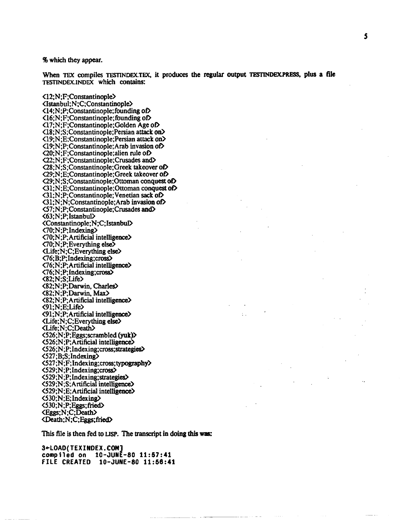## *46* which they **appear.**

When TEX compiles TESTINDEX.TEX, it produces the regular output TESTINDEX.PRESS, plus a file **TESTINDEX.INDEX** which contains:

<l2;N;F;Constantinople> **<Istanbul;N;C;Constantinople> <14:N;P;Constantinople;founding** of) **<16;N;F;Constantinople;founding** 00 **<17;N;F;Constantinople;Golden** Age OD **<18;N;S;Constantinople;Persian** attack on) **<19;N;E:Constantinople;Persian** attack on) **<19;N;P;Constantinople:Arab** invasion 00 **<20;N;F;Constantinople;alien** rule OD **(22;N;F;Constantinople;Crusades** a. **<28;N;S;Constantinople;Greek** takeover of) **<29;N;E;Constantinople;Greek** takeover on **<29;N;S;Constantinople;Ottoman** conquest of) **<31;N:E;Constantinople;Ottoman conquest** 00 **<31;N;P;Constantinople;Venetian sack** of) **<31;N;N;Constantinople;Arab** invasion 00 **<57;N;P;Constantinople;Crusades** and) <63;N;P;Istanbul> **<Constantinople;N;C;IstanbuD**  <7O;N;P; Indexing> <70;N;P;Artificial intelligence)  $\langle 70;N;P;$  Everything else $\bar{\rangle}$ <Life;N;C;Everything else)  $\langle 76; B; P; \text{Indexing}; \text{cross} \rangle$ <76;N;P;Artificial intelligence) <76;N;P;lndexing;cross) <82;N;S;Life> <82;N;P;Darwin, Charles> <82;N;P;Danvin, **Max9**  <82;N;P;Artificial intelligence) <91;N;E;Life> <91;N;P;Artificial intelligenoe) <Life;N;C;Everything else) <Life;N;C;DeaW <526;N;P;Eggs;scrambled **(yult)>**   $\langle$ 526;N;P;Artificial intelligence $\rangle$ **<526;N;P;Indexing;mss;strategies)**  <527;B;S;Indexing)  $\langle$ 527;N;F;Indexing;cross;typography> **<529;N;P;Indexing;cross) <529;N;P;Indexing;suategie@**  <529;'N;S:Anificial intelligenoe) <529;N;E;Artificial intelligence) <530;N;E;Indexing) <530;N;P;Eggs;fried) <Eggs;N;C;Dcath) <Death;N;C;Eggs;fried)

**This** file is then fed to **LISP.** The transcript in doing **this wae:** 

**3+LOAD(TEXINDEX.COMJ compiled on 10-JUNE-80 11:57:41 FILE CREATED 10-JUNE-80 11:56:41**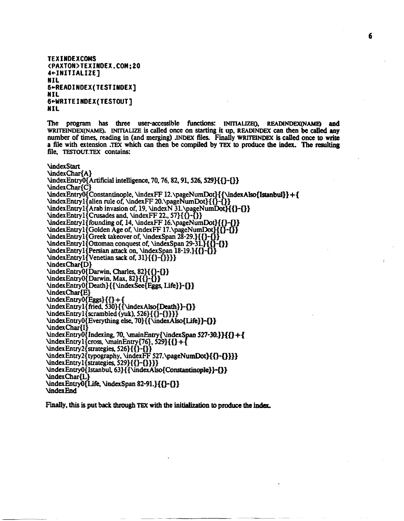```
TEXINDEXCOMS 
<PAXTON>TEXIMDEX,COM:20 
4+INlTIALIZE] 
NIL 
5+READINDEX(TESTIWOEX] 
NIL 
G+WRITEINDEX(TESTOUT] 
NIL
```
The program has three user-accessible functions: **INITIALIZEO, READINDEXONAME** and **WRITEINDEX(NAME9. INITIALIZE is** called once on starting it up, **READINDEX can then be ded** any number of **times,** reading in (and merging) **.INDEX files.** Finally **WRITnNDEX is** caned **once** to **write**  a file with extension **.TEX** which **can** then be compiled by mx to produce the index. **The** resulting file. **TESTOUT.TEX** contains:

**NindexStart** 

\indexChar{A) \indexEntry0{Artificial intelligence, 70, 76, 82, 91, 526, 529}{{}-{}} \indexChar{C] \indexEntry0{Constantinople, \indexFF 12.\pageNumDot}{{\indexAlso{Istanbul}}+{ \indexEntryl{alien rule of, \indexFF 20.\pageNumDot}{{}-{}}  $\underset{\text{under}E}{\text{Intry1}}$  [Crusades and,  $\underset{\text{under}}{C}$  11.57}{\left{3}  $\index{Array{Arab invasion of, 19, \index{N 31. \page{Number}}{ }-0}$  $\infty$ Entryl{founding of, 14, \indexFF 16.\pageNumDot}{{}-{}}  $\underset{\text{order}}{\text{Golden Age of, \underbrace{\text{17}}\text{12}}}$ \indexEntryl{Greek takeover of, \indexSpan 28-29.}{{}-{}}  $\left\{ \Delta \right\}$  \indexEntryl{Ottoman conquest of, \indexSpan 29-31.}{{}-{}} \indexEntryl{Persian attack on, \indexSpan 18-19.}{{}-{]  $\text{index}E\n{\text{Intryl}}\{\text{Venetian sack of, 31}\{\}\}-\{\}$ \indexChar{D) \indexEntry0{Darwin, Charles, 82}{{}-{}} \indexEntryO{Darwin, **Max,** 82){{)-{)) \indexEntry0{Death}{{\indexSee{Eggs, Life}}-{}} \indexChar{E) \indexEntry0{Eggs}{{}+{<br>\indexEntry1{ fried, 530}{{\indexAlso{Death}}-{  $\text{indexEntry1}\{\text{scrambled(yuk)}, 526\}\{\{\{-\{\}\}\}\}$  $\in$ Entry $0$ {Everything else, 70}{{\indexAlso{Life}}-{}} \indexChar{I) \indexEntry0{Indexing, 70, \mainEntry{\indexSpan 527-30.}}{{}+{ \indexEntry0{Everything else, 70}{{\indexAlso{Life}}-{}}<br>\indexChar{I}<br>\indexEntry0{Indexing, 70, \mainEntry{\indexSpan 527-30.}<br>\indexEntry1{cross, \mainEntry{76}, 529}{{}+{<br>\indexEntry2{strategies, 526}{{}-{}}  $\infty$ Entry2{strategies, 526}{{}-{}} \indexEntry2{typography, \indexFF 527.\pageNumDot}{{}-{}}}} **\indexEntryl{strategies,** 529){{)-{)))) \indexEntry0{Istanbul, 63}{{\indexAlso{Constantinople}} <sup>2</sup>}} \indexChar{L}  $\infty$ Entry $0$ {Life,  $\infty$ Span 82-91.}{{}-{}} \indexEnd

**Finally, this is put back through TEX with the** initialization **to produce the** index.

6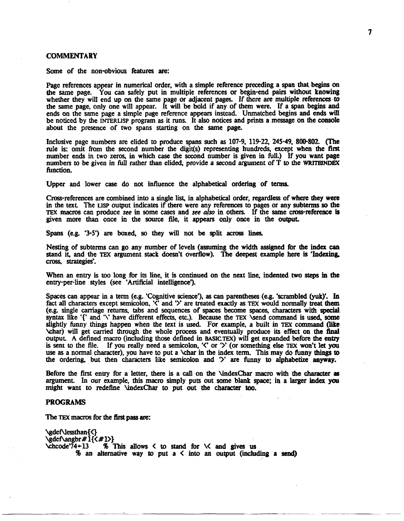### **COMMENTARY**

Some of the non-obvious features *are:* 

Page references appear in numerical order, with a simple reference preceding a span that begins on the same pase. You can safely put in multiple references or begin-end pairs without knowing whether they will end up on the same page or adjacent pages. If there are multiple **references** to the same page, only one will appear. It will be bold if any of them were. If a span begins and ends on the same page a simple page reference appears instead. Unmatched begins and ends will be noticed by the **INTERUSP** program as it runs. It also notices and prints a message on the console about the presence of two spans starting on the same page.

Inclusive page numbers are elided to produce spans such as 107-9, 119-22, 245-49, 800-802. (The rule is: omit From the second number the digit(s) representing hundreds, except when the first number ends in two zeros, in which **case** the second number is given in full.) If you want page numbers to be given in full rather than elided, provide a second argument of T *to* the **WRITEINDEX**  function.

Upper and lower **case** do not influence the alphabetical ordering of **terms.** 

Cross-references are combined into a single list, in alphabetical order, regardless of where they were in the text. The **LISP** output indicates if there were any references to pages or any subterms so the **TEX** macros can produce **see** in some **cases** and **see** also in others. If the same cross-reference is given more than once in the source fde, it appears only once in the output.

Spans (e.g. '3-5') are boxed, so they will not be split across lines.

Nesting of **subterms** can go any **number** of levels (assuming the width assigned for the index can stand it, and the **TEX** argument **stack** doesn't overflow). The deepest example here is **'Indexing,**  cross, *strategies'.* 

When an entry is **too** long for its line, it is continued on the next line, indented two **steps** in the entry-per-line styles (see 'Artificial intelligence').

Spaces can appear in a tenn (e.g. 'Cognitive science'), **as** can parentheses (e.g. 'scrambled **(yuk)'.** In fact all characters except semicolon, **'C** and **'Y** are treated exactly **as TEX** would nonnally treat **them**  (e.g. single carriage returns, tabs and sequences of **spaces** become **spaces, characters** with special syntax like 'f' and '\' have different effects, etc.). Because the TEX \send command is used, some slightly funny things happen when the text is used. For example, a built in TEX command (like \char) will get carried through the whole process and eventually produce its effect on the final output **A** defined macro (including those defined in BASIC.^) will get expanded before the entry is sent to the file. If you really need a semicolon, '<' or **3'** (or something else **TEX** won't let **you**  use as a normal character), you have to put a \char in the index term. This may do funny things to the ordering, but then characters like semicolon and '>' are funny to alphabetize **anyway**.

Before the first entry fbr a letter, there is a call on the \indexchar **macro** with the character **as argument.** In our example, this macro simply puts out some blank space; in a larger **index you**  might want to redefine \indexchar to put out the character *too.* 

### **PROGRAMS**

The TEX macros for the first pass are:

\gdef\lessthan{<} \gdef\angbr#1{<#1>}<br>\chcode'74+13 % 7 % This allows  $\leq$  to stand for  $\leq$  and gives us % an alternative **way** to put a < into **an** output **(including** a **send)**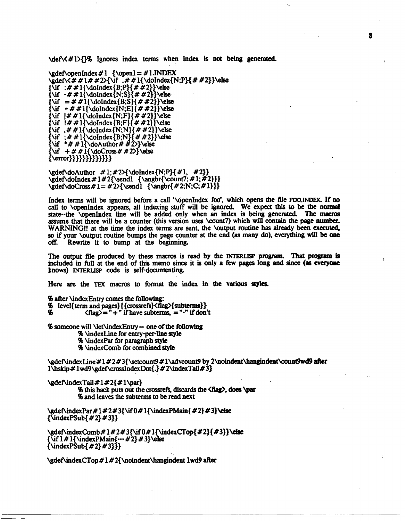\deA<#l>{}% Ignores index tcnns when index **is** not being **generated.** 

\gdef\openIndex #1 {\open1 = #1.INDEX \gdef\ $\forall x \neq 1 \neq x$ 2>{\if  $\exists x \neq 1$ {\doIndex{N;P}{##2}}\else  $\{\text{if } # 1\} \cdot \text{B} \cdot \text{B} \cdot \text{C} \cdot \text{C}$  $\{\text{if } -# # 1\{\text{old} \}, \text{if } # 2\} \} \text{ with } = # # 1\{\text{old} \}, \# # 2\} \} \text{ be }$  $\{\iota + \# \mathcal{A} \cdot \{N; E\} \} \text{ else }$  $\{\text{Vif } | # #1\{\text{dolndex}\{N;F\}\{# #2\}\}\text{else}$  $\{\iota : \# \# 1\} \cdot \{B, F\} \neq 2\} \cdot \text{else}$  $\{\iota, \# \# 1\{\dota\} \} \$  > else {\if :##1{\doIndex{B;N}{##2}}\else  $\int^*# # 1\{\dtext{d}$  Author # #2>} \else  $\int \iint + \# \iint \dOCross \# \# 2$ >} \else  $\{\text{error}\}\{\{\}\{\}\}\{\{\}\}\}\$ 

\gdef\doAuthor  $\#1; \#2$  \doIndex {N;P} { $\#1$ ,  $\#2$ }} \gdef\doIndex #1#2{\send1 {\angbr{\count7; #1; #2}}}  $\gcd\cdot\cdot\cdot# 1 = # 2$  \ \send  $\{ \alpha\in\{ \alpha\} \}$ 

Index terms will be ignored before a call '\openIndex foo', which opens the file **FOO.INDEX.** If no call to **\openIndex** appears, all indexing stuff will be ignored. We expect this to be the normal state--the \openIndex line will be added only when an index is being generated. The macros assume that there will be a counter (this version uses kount7) which will **contain** the **page number. WARNING!!** at the time the index terms are sent, the \output routine has already been **executed,**  so if your \output routine bumps the page counter at the end (as many do), everything will **be one**  Rewrite it to bump at the beginning.

The output file produced by these macros is read by the **INTERLISP** program. That program is included in **full** at the end of this memo since it is only a **ftw** pages long and since **(as** *everyone*  knows) **INTERLISP** code is self-documenting.

Here are the TEX macros to format the index in the various styles.

% after \indexEntry comes the following:

% level{term and pages}{{crossrefs}<flag>{subterms}}<br>% <flag>="+" if have subterms. ="-" if don

 $\langle$ flag $\rangle$  = "+" if have subterms, = "-" if don't

**%** someone will  $\text{Vert}\text{index}E$ ntry = one of the following % QndexLine for entry-perline **style**  % \indexpar for paragraph style % \indexcomb for combined **style** 

\gdef\indexLine #1 # 2 # 3{\setcount9 # 1\advcount9 by 2\noindent\hangindent\count9wd9 after l\hskip#lwd9\gdef\crossIndexDot{.}#2\indexTail#3}

 $\gcd\{ \text{Coul}/ \# 1 \# 2\}$ % this hack puts out the crossrefs, discards the **<flag>**, does **\par** % and leaves the subterms **to** be read next

\gdef\indexPar#1#2#3{\if 0#1{\indexPMain{#2}#3}\else  $\{\text{indexPSub}\{\#2\}\#3\}\}$ 

\gdef\indexComb#1#2#3{\if 0#1{\indexCTop{#2}{#3}}\else  ${\\ifmmode{\times}\text{-} \ifmmode{\times}\text{-} \ifmmode{\times}\text{-} \ifmmode{\times}\text{-} \ifmmode{\times}\text{-} \ifmmode{\times}\text{-} \ifmmode{\times}\text{-} \ifmmode{\times}\text{-} \ifmmode{\times}\text{-} \ifmmode{\times}\text{-} \ifmmode{\times}\text{-} \ifmmode{\times}\text{-} \ifmmode{\times}\text{-} \ifmmode{\times}\text{-} \ifmmode{\times}\text{-} \ifmmode{\times}\text{-} \ifmmode{\times}\text{-} \ifmmode{\times}\text{-} \ifmmode{\times}\text{-} \ifmmode{\times}\text{-} \ifmmode{\times}\text{-} \ifmmode{\times}\text{ {\{ \langle} x \rangle \} \}$ 

\gdef\indexCTop# 1 # 2{\noindent\hangindent lwd9 after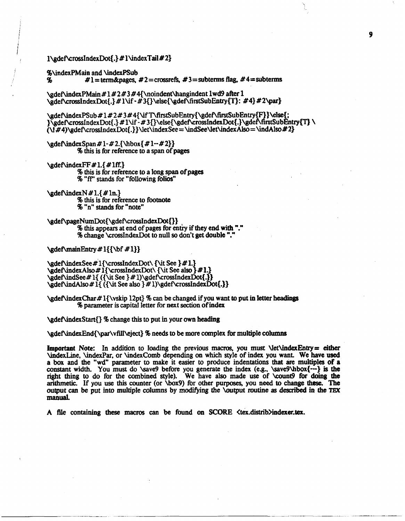## $1\cdot$  adef \crossIndexDot{.}#  $1\cdot$ indexTail#2}

 $%$ \indexPMain and \indexPSub<br>% $*1$ =term&nages

 $\sharp$ **1** = term&pages,  $\sharp$ 2 = crossrefs,  $\sharp$ 3 = subterms flag,  $\sharp$ 4 = subterms

\gdef\indexPMain#1#2#3#4{\noindent\hangindent lwd9 after 1 \gdef\crossIndexDot{.}#1\if -#3{}\else{\gdef\firstSubEntry{T}: #4}#2\par}

\gdef\indexPSub#1#2#3#4{\ifT\firstSubEntry{\gdef\firstSubEntry{F}}\else{; }\gdef\crossIndexDot{.}#1\if -#3{}\else{\gdef\crossIndexDot{.}\gdef\firstSubEntry{T}\  $(\iota, \iota, \iota)$ \gdef\crossIndexDot{.}}\let\indexSee = \indSee\let\indexAlso = \indAlso #2}

 $\gcd\frac{\text{span } \# 1 - \# 2.}{\hbox{min } \# 1 - \# 2}$ % this is for reference to a span of pages

 $\c{$ edef\node{\times}Fff \# 1.4 # 1ff.}

% this is for reference to a long span of pages % **"ff'** stands for "following folios"

lgdefUudexN # I.{# **In.}** 

% this is for reference to footnote

*<sup>46</sup>*"n" stands for "note"

**~dehp~eNumDot{\gdeficrossIn&xDot{)]** 

% this appears at end of pages for entry if they end with "." **<sup>96</sup>**change \crossIndexDot to null so don't get double "."

\gdef\mainEntry#1{{\bf#1}}

\gdef\indexSee # l{\crossIndexDot\ {\it See }#1.} \%deRindexAlso# l{\crossIndexDot\ {\it See also **)#I.)**  \gdehindSee# **1{** ({\it See } # **l)\gdef\crossIndexDot{.}]**  \g&fbdAlso # 1{ ({\it See also } # **l)\gdef\crossIndexDot{.])** 

\gdefindexChar# l{\vskip 12pt} % can be changed if you want **to** put in letter headings % parameter is capital letter for next section of index

\gdef\indexStart{} % change this to put in your own heading

**\gdeRindexEnd{\par\vfitf\eject}** % needs to be more complex for multiple columns

**Important Note:** In addition to loading the previous macros, you must NetNindexEntry= either \indexhe, \indexpar, or \indexcomb depending on which style of index you **want** We have used a **box** and the "wd" parameter to make it easier to produce indentations that are multiples of a constant width. You must do **\save9** before you generate the index (e.g., \save9\hbox{---} is the right thing to do for the combined style). We have also made use of **\count9** for doing the arithmetic. If you use this counter (or \box9) for other purposes, you need to change these. The output can be put into multiple columns by modifying the \output routine as described **in the** *TEX*  **manual,** 

A file containing these macros can be found on **SCORE**  $\langle \text{tex.} \rangle$  *Containent Containing* these macros can be found on **SCORE**  $\langle \text{tex.} \rangle$  *Containing*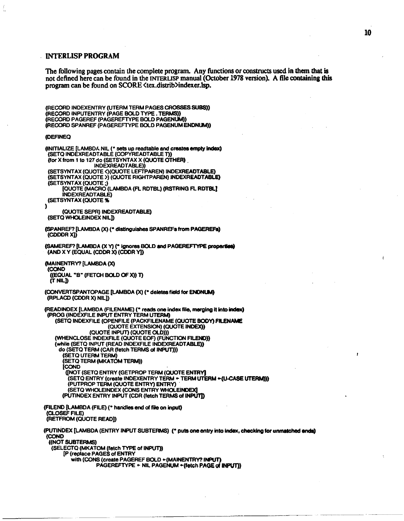## **INTERLISP PROGRAM**

**The following pages contain the complete program. Any functions or constructs uscd in them that is not defined here can be found in the INTERLISP manual (OctOber 1978 version). A file containing this program can be found on SCORE <tex.distrib>indexer.lsp.** 

(RECORD INDEXENTRY (UTERM TERM PAGES CROSSES SUBS)) (RECORD INPUTENTRY (PAGE BOLD TYPE. TERMS)) (RECORD PAGEREF (PAGEREFTYPE BOLD PAGENUM)) (RECORD SPANREF (PAGEREFTYPE BOLD PAGENUM ENDNUM))

#### **@EF** INEQ

(INITIALIZE [LAMBDA NIL (\* sets up readtable **and createampty** index) (SETQ INOWREADTABLE (COPYREADTABLE **T))**  (for x from **1** to 127 **do** (SET'SYNTAX x (QUOTE **&HER)**  INDEXREADTABLE)) (SETSYNTAX (QUOTE <) (QUOTE LEFTPAREN) INDEXREADTABLE) (SETSYNTAX (QUOTE **>I** (QUOTE RIGHTPAREN) INDEXRMDTABLR &TSYNTAX (QUOTE **;j** ' [QUOTE (MACRO (LAMBDA **(R** RDTBL) (RSTRING **R RDTBL]**  INDEXREADTABLE) (SETSYNTAX (QUOTE % ' **1**  (QUOTE SEPR) INDEXREADTABLE) (SETO WHOLE INDEX NILT) (SPANREF? [LAMBDA (X) (\* **distingu'lshes** SPANREFS from **PAGEREF.)**  (CDDDR **XI)**   $(SAMEREF?$  [LAMBDA  $(X Y)$  (\* ignores BOLD and PAGEREFTYPE properties) (AND X Y (EQUAL (CDDR X) (CDDR **Y]) (MAINENTRY?** [LAMBDA (X) (CON0 **((EQUAL** "B" (FETCH BOLD **Of X)) T)**  (r NILD (CONVERTSPANTOPAGE [LAMBDA (X) (\* deletes field for **ENDNUM) (RPLACD** (CDOR X) NIL]) (READINDEX [LAMBDA (FILENAME) (\* reads one index file, merging it into **index)**  (PROG (INDEXFILE INPUT ENTRY TERM **UTERM)**  (SETQ INDEXFILE (OPENFILE (PACKFILENAME (QUOTE **BODY) FILENAME** (QUOTE EXTENSION) (QUOTE **INDEX))**  (QUOTE INPUT) (QUOTE OLD))) (WHENCLOSE INDEXFILE (QUOTE **EOF)** (FUNCTION BLEW)) (while (SET0 INPUT (READ INDEXFILE INDEXREADTABLE)) do (SETQ TERM (CAR (fetch TERMS **ot** INPUT))) (SETQ UTERM TERM) (SETQ TERM (MKATOM TERM)) **COND** ([NOT (SETQ ENTRY (GETPROP TERM **(OUOTE ENTRM (SETQ ENTRY (create INDEXENTRY TERM + TERM UTERM + (U-CASE UTERM)))** (PUTPROP TERM (QUOTE ENTRY) ENTRY) (SETQ WHOLEINDEX (CONS ENTRY WHOLEINDEX) (PUTINDEX ENTRY INPUT (CDR (fetch TERMS of **INPUTJ)**  (FILEND [LAMBDA (FILE) (\* handles end *d* fib **on** input) **(CLOSEF** FILE) (RETFROM (QUOTE READ]) (PUTINDEX [LAMBDA (ENTRY INPUT SUBTERMS) (\* **puts** one entry **into index,** checking for **unmatched** ends) (COND ((NOT SUBTERMS) (SELECTQ (MKATOM (fetch TYPE **of** INPUT)) **[P** (replace PAGES of ENTRY with (CONS (create PAGEREF BOLD \*(MAINENTRY? INPUT) PAGEREFTYPE + NIL PAGENUM + (fetch PAGE of INPUT))

ł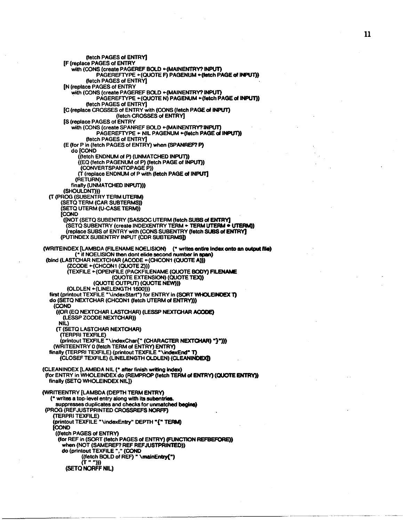(fetch PAGES of **ENTRV]**  [F (replace PAGES of ENTRY with (CONS (create PAGEREF BOLD +(MAINENTRY? INPUT) PAGEREFTVPE +(QUOTE F) PAOENUM +(fetch PAGE **of** INPUT)) (fetch PAGES of ENTRY] [N (replace PAGES of ENTFIY with (CONS (create PAGEREF BOLD +(MAINENTRY? **JNPUT)**  PAGEREFTVPE +(QUOTE N) PAGENUM +(fetch PAGE **d** INPUT)) (fetch PAGES of ENTRY] [C (replace CROSSES of ENTRY with (CONS (fetch PAGE of INPUT) (fetch CROSSES d ENTRY] [S (replace PAGES of ENTRY with (CONS (create SPANREF BOLD + (MAINENTRY? **INPUT)**<br>PAGEREFTYPE + NIL PAGENUM + (fetch PAGE of INPUT)) (fetch PAGES of ENTRY] (E (for P in (fetch PAGES of ENTRY) when (SPANREF? P) do [COND ((fetch ENDNUM **d** P) (UNMATCHED INPUT)) ((EQ (fetch PAGENUhA of P) (fetch PAGE of INPUT)) (CONVERTSPANTOPAGE P)) (T (replace ENDNUM **of** P with (fetch PAGE **of** INPU'] (RETURN)<br>finally (UNMATCHED INPUT))) (SHOULDNT))<br>(T (PROG (SUBENTRY TERM UTERM) (SETQ TERM (CAR SUBTERMS)) (SETQ UTERM (U-CASE TERM)) [CCND ([NOT (SETQ SUBENTRY (SASSOC UTERM (fetch SUBS of ENTRY] (SETQ SUBENTRY (create INDEXENTRY TERM + TERM UTERM · UTERM)) (replace SUBS of ENTRY with (CONS SUBENTRY (fetch SUBS **of EMRY)**  (PUTINDEX SUBENTRY INPUT (CDR SUBTERMSI) (WRITEINDEX [LAMBDA (FILENAME NOELISION) (\* writes **entke** index onto **an** *output* **fik)**  (\* if NOELISION **then** dont dide second number in **spm)**  (bind (LASTCHAR NEXTCHAR (ACODE + (CHCON1 (QUOTE A))) (ZCODE + (CHCON1 (QUOTE Z))) (TEXFILE +(OPENFILE (PACKFILENAME (QUOTE BODY) **FILM**  (OUOTE EXTENSON) (QUOTE TEX)) (QUOTE OUTPUT) **(QUOTE** NEW))) (OLDLEN +(LINELENGTH 1500))) first (printout TEXFILE "\indexStart") for ENTRY in (SORT WHOLEINDEX T) do **(SETQ** NEXTCHAR (CHCON1 (fetch UTERM **of** ENTRY))) **(Corn**  ((OR (€0 NEXTCHAR LASTCHAR) (LESSP NEXTCHAR **ACODE)**  (LESSP ZCODE NEXTCHAR)) NIL) (T (SETQ LASTCHAR NEXTCHAR) (TERPRI TEXFILE) (printout TEXFILE "\indexchar{" (CHARACTER **NEXTCHAR)** ")\*))) (WRITEENTRY **0** (fetch TERM of ENTFW) ENTRY) finally CTERPRl TEXFILE) (printout TEXFILE **"\imdexEnda T)**  (CLOSE TEXFILE) (LINUENGTH **OLDLEN) (CLEANINDEX1)**  (CLEANINDEX [LAMBDA NIL (\* *after* finish writing **hdex)**  (for ENTRY in WHOLEINDEX do **(REMPROP** (fetch TERM *af* WRY) **(QUOTE ENTRY))**  finally (SETQ WHOLEINDEX NIL]) (WRITEENTRY [LAMBDA (DEPTH TERM ENTRY) (\* writes a top-level entry along with its subentries suppresses duplicates and checks for unmatched begins) (PROG (REFJUSTPRINTED CFIOSWEFS **NORFF)**  (TERPRI TEXFILE)<br>(printout TEXFILE "\indexEntry" DEPTH **"{" TERM) [COND** ((fetch PAGES of ENTRV) (for REF in (SORT (fetch PAGES of ENTRY) (FUNCTION **REFBEFORE))**  when (NOT (SAMEREF? REF REF JUSTPRINTED)) do (prinlout TEXFILE " " **(OND**  ((fetch BOLD of REF) " **\mainEntry(")**  $(T " ")))$ (SETQ NORFF NIL)